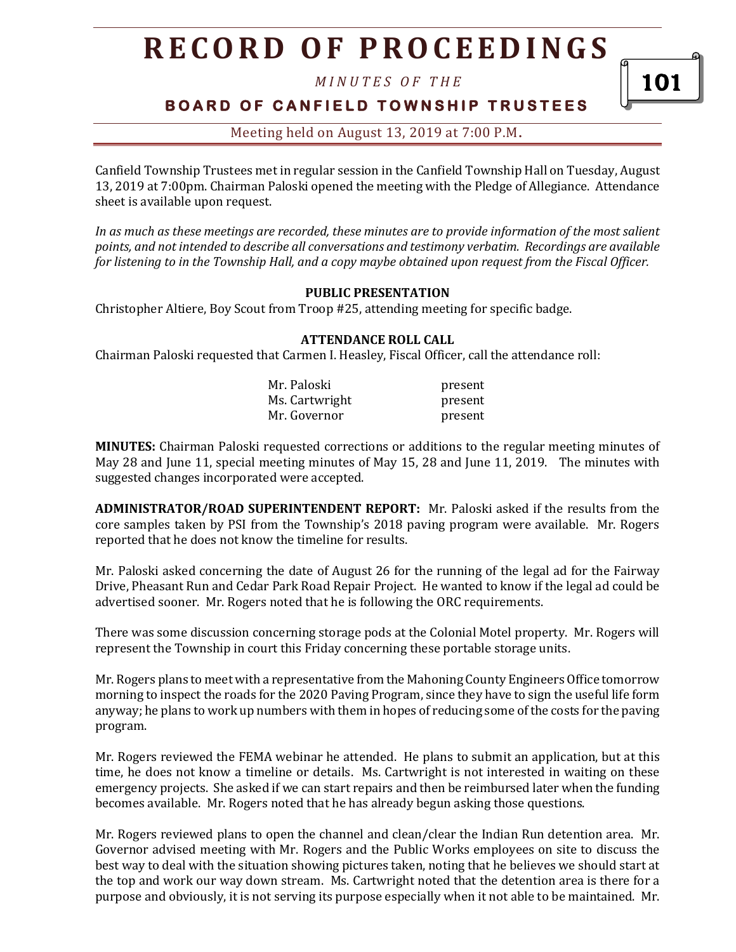*M I N U T E S O F T H E* 

101

**BOARD OF CANFIELD TOWNSHIP TRUSTEES** 

Meeting held on August 13, 2019 at 7:00 P.M**.**

Canfield Township Trustees met in regular session in the Canfield Township Hall on Tuesday, August 13, 2019 at 7:00pm. Chairman Paloski opened the meeting with the Pledge of Allegiance. Attendance sheet is available upon request.

*In as much as these meetings are recorded, these minutes are to provide information of the most salient points, and not intended to describe all conversations and testimony verbatim. Recordings are available for listening to in the Township Hall, and a copy maybe obtained upon request from the Fiscal Officer.* 

## **PUBLIC PRESENTATION**

Christopher Altiere, Boy Scout from Troop #25, attending meeting for specific badge.

### **ATTENDANCE ROLL CALL**

Chairman Paloski requested that Carmen I. Heasley, Fiscal Officer, call the attendance roll:

| Mr. Paloski    | present |
|----------------|---------|
| Ms. Cartwright | present |
| Mr. Governor   | present |

**MINUTES:** Chairman Paloski requested corrections or additions to the regular meeting minutes of May 28 and June 11, special meeting minutes of May 15, 28 and June 11, 2019. The minutes with suggested changes incorporated were accepted.

**ADMINISTRATOR/ROAD SUPERINTENDENT REPORT:** Mr. Paloski asked if the results from the core samples taken by PSI from the Township's 2018 paving program were available. Mr. Rogers reported that he does not know the timeline for results.

Mr. Paloski asked concerning the date of August 26 for the running of the legal ad for the Fairway Drive, Pheasant Run and Cedar Park Road Repair Project. He wanted to know if the legal ad could be advertised sooner. Mr. Rogers noted that he is following the ORC requirements.

There was some discussion concerning storage pods at the Colonial Motel property. Mr. Rogers will represent the Township in court this Friday concerning these portable storage units.

Mr. Rogers plans to meet with a representative from the Mahoning County Engineers Office tomorrow morning to inspect the roads for the 2020 Paving Program, since they have to sign the useful life form anyway; he plans to work up numbers with them in hopes of reducing some of the costs for the paving program.

Mr. Rogers reviewed the FEMA webinar he attended. He plans to submit an application, but at this time, he does not know a timeline or details. Ms. Cartwright is not interested in waiting on these emergency projects. She asked if we can start repairs and then be reimbursed later when the funding becomes available. Mr. Rogers noted that he has already begun asking those questions.

Mr. Rogers reviewed plans to open the channel and clean/clear the Indian Run detention area. Mr. Governor advised meeting with Mr. Rogers and the Public Works employees on site to discuss the best way to deal with the situation showing pictures taken, noting that he believes we should start at the top and work our way down stream. Ms. Cartwright noted that the detention area is there for a purpose and obviously, it is not serving its purpose especially when it not able to be maintained. Mr.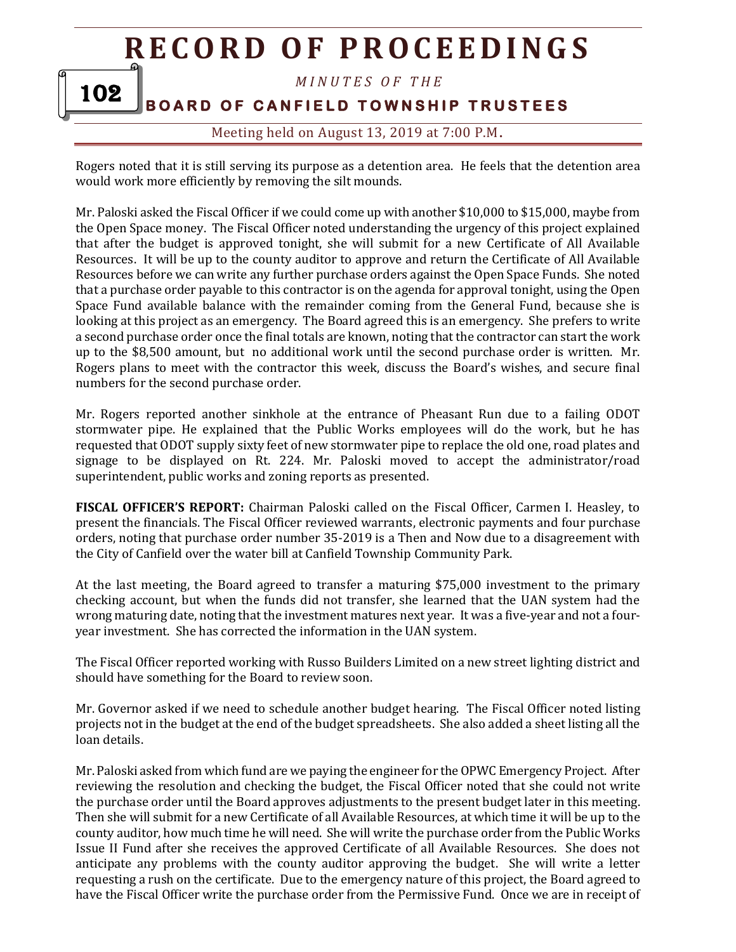*M I N U T E S O F T H E* 

# **BOARD OF CANFIELD TOWNSHIP TRUSTEES**

102

Meeting held on August 13, 2019 at 7:00 P.M**.**

Rogers noted that it is still serving its purpose as a detention area. He feels that the detention area would work more efficiently by removing the silt mounds.

Mr. Paloski asked the Fiscal Officer if we could come up with another \$10,000 to \$15,000, maybe from the Open Space money. The Fiscal Officer noted understanding the urgency of this project explained that after the budget is approved tonight, she will submit for a new Certificate of All Available Resources. It will be up to the county auditor to approve and return the Certificate of All Available Resources before we can write any further purchase orders against the Open Space Funds. She noted that a purchase order payable to this contractor is on the agenda for approval tonight, using the Open Space Fund available balance with the remainder coming from the General Fund, because she is looking at this project as an emergency. The Board agreed this is an emergency. She prefers to write a second purchase order once the final totals are known, noting that the contractor can start the work up to the \$8,500 amount, but no additional work until the second purchase order is written. Mr. Rogers plans to meet with the contractor this week, discuss the Board's wishes, and secure final numbers for the second purchase order.

Mr. Rogers reported another sinkhole at the entrance of Pheasant Run due to a failing ODOT stormwater pipe. He explained that the Public Works employees will do the work, but he has requested that ODOT supply sixty feet of new stormwater pipe to replace the old one, road plates and signage to be displayed on Rt. 224. Mr. Paloski moved to accept the administrator/road superintendent, public works and zoning reports as presented.

**FISCAL OFFICER'S REPORT:** Chairman Paloski called on the Fiscal Officer, Carmen I. Heasley, to present the financials. The Fiscal Officer reviewed warrants, electronic payments and four purchase orders, noting that purchase order number 35-2019 is a Then and Now due to a disagreement with the City of Canfield over the water bill at Canfield Township Community Park.

At the last meeting, the Board agreed to transfer a maturing \$75,000 investment to the primary checking account, but when the funds did not transfer, she learned that the UAN system had the wrong maturing date, noting that the investment matures next year. It was a five-year and not a fouryear investment. She has corrected the information in the UAN system.

The Fiscal Officer reported working with Russo Builders Limited on a new street lighting district and should have something for the Board to review soon.

Mr. Governor asked if we need to schedule another budget hearing. The Fiscal Officer noted listing projects not in the budget at the end of the budget spreadsheets. She also added a sheet listing all the loan details.

Mr. Paloski asked from which fund are we paying the engineer for the OPWC Emergency Project. After reviewing the resolution and checking the budget, the Fiscal Officer noted that she could not write the purchase order until the Board approves adjustments to the present budget later in this meeting. Then she will submit for a new Certificate of all Available Resources, at which time it will be up to the county auditor, how much time he will need. She will write the purchase order from the Public Works Issue II Fund after she receives the approved Certificate of all Available Resources. She does not anticipate any problems with the county auditor approving the budget. She will write a letter requesting a rush on the certificate. Due to the emergency nature of this project, the Board agreed to have the Fiscal Officer write the purchase order from the Permissive Fund. Once we are in receipt of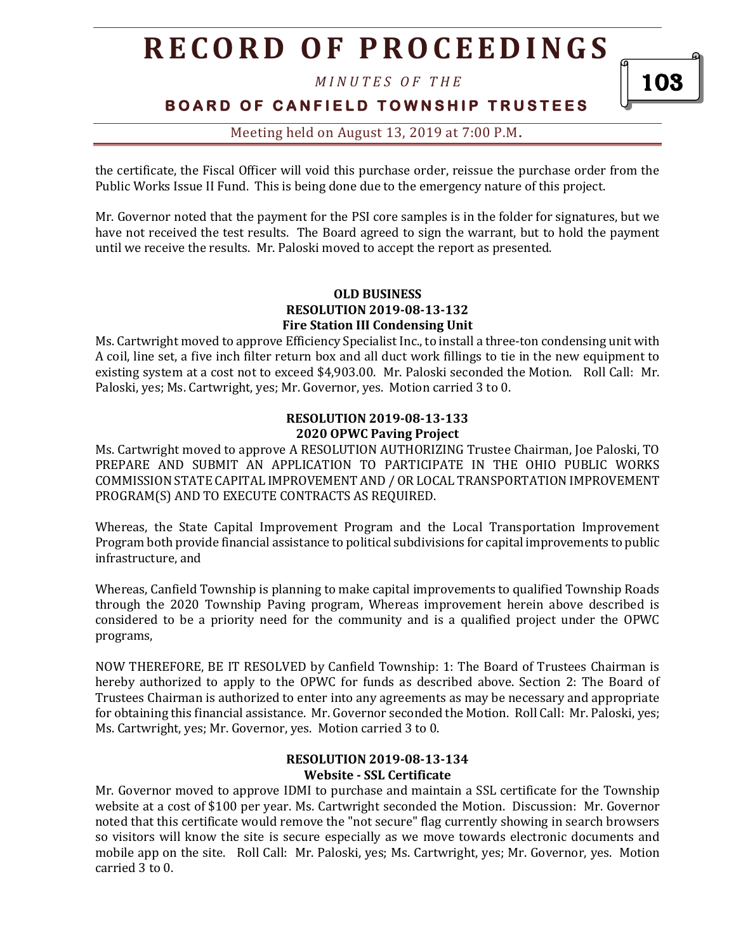*M I N U T E S O F T H E* 

103

**BOARD OF CANFIELD TOWNSHIP TRUSTEES** 

# Meeting held on August 13, 2019 at 7:00 P.M**.**

the certificate, the Fiscal Officer will void this purchase order, reissue the purchase order from the Public Works Issue II Fund. This is being done due to the emergency nature of this project.

Mr. Governor noted that the payment for the PSI core samples is in the folder for signatures, but we have not received the test results. The Board agreed to sign the warrant, but to hold the payment until we receive the results. Mr. Paloski moved to accept the report as presented.

#### **OLD BUSINESS RESOLUTION 2019-08-13-132 Fire Station III Condensing Unit**

Ms. Cartwright moved to approve Efficiency Specialist Inc., to install a three-ton condensing unit with A coil, line set, a five inch filter return box and all duct work fillings to tie in the new equipment to existing system at a cost not to exceed \$4,903.00. Mr. Paloski seconded the Motion. Roll Call: Mr. Paloski, yes; Ms. Cartwright, yes; Mr. Governor, yes. Motion carried 3 to 0.

# **RESOLUTION 2019-08-13-133 2020 OPWC Paving Project**

Ms. Cartwright moved to approve A RESOLUTION AUTHORIZING Trustee Chairman, Joe Paloski, TO PREPARE AND SUBMIT AN APPLICATION TO PARTICIPATE IN THE OHIO PUBLIC WORKS COMMISSION STATE CAPITAL IMPROVEMENT AND / OR LOCAL TRANSPORTATION IMPROVEMENT PROGRAM(S) AND TO EXECUTE CONTRACTS AS REQUIRED.

Whereas, the State Capital Improvement Program and the Local Transportation Improvement Program both provide financial assistance to political subdivisions for capital improvements to public infrastructure, and

Whereas, Canfield Township is planning to make capital improvements to qualified Township Roads through the 2020 Township Paving program, Whereas improvement herein above described is considered to be a priority need for the community and is a qualified project under the OPWC programs,

NOW THEREFORE, BE IT RESOLVED by Canfield Township: 1: The Board of Trustees Chairman is hereby authorized to apply to the OPWC for funds as described above. Section 2: The Board of Trustees Chairman is authorized to enter into any agreements as may be necessary and appropriate for obtaining this financial assistance. Mr. Governor seconded the Motion. Roll Call: Mr. Paloski, yes; Ms. Cartwright, yes; Mr. Governor, yes. Motion carried 3 to 0.

## **RESOLUTION 2019-08-13-134 Website - SSL Certificate**

Mr. Governor moved to approve IDMI to purchase and maintain a SSL certificate for the Township website at a cost of \$100 per year. Ms. Cartwright seconded the Motion. Discussion: Mr. Governor noted that this certificate would remove the "not secure" flag currently showing in search browsers so visitors will know the site is secure especially as we move towards electronic documents and mobile app on the site. Roll Call: Mr. Paloski, yes; Ms. Cartwright, yes; Mr. Governor, yes. Motion carried 3 to 0.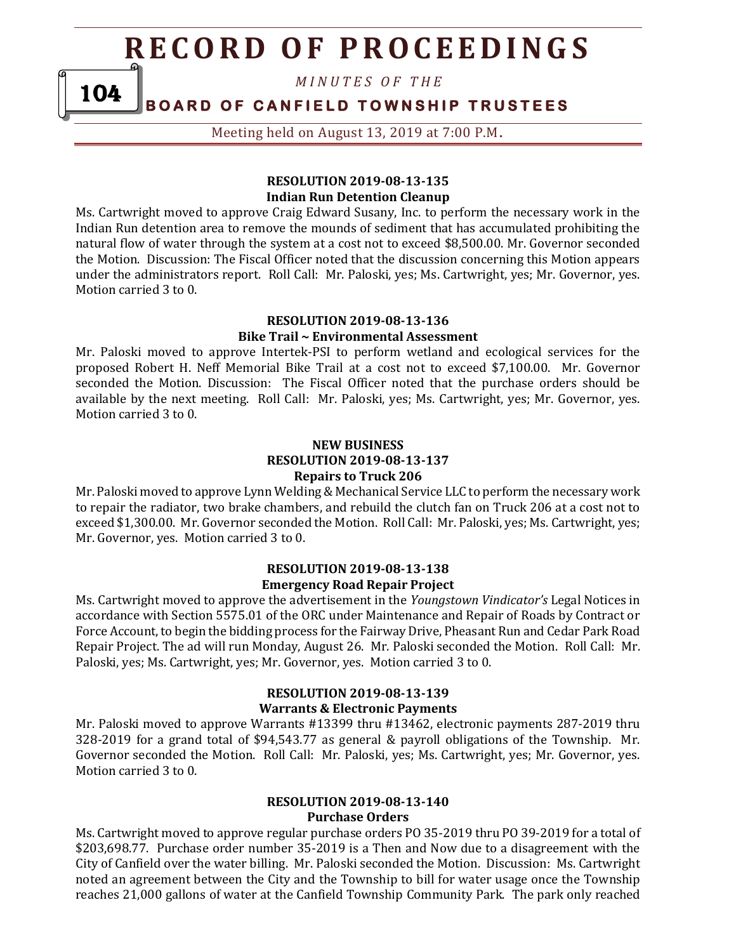*M I N U T E S O F T H E* 

**BOARD OF CANFIELD TOWNSHIP TRUSTEES** 104

Meeting held on August 13, 2019 at 7:00 P.M**.**

## **RESOLUTION 2019-08-13-135 Indian Run Detention Cleanup**

Ms. Cartwright moved to approve Craig Edward Susany, Inc. to perform the necessary work in the Indian Run detention area to remove the mounds of sediment that has accumulated prohibiting the natural flow of water through the system at a cost not to exceed \$8,500.00. Mr. Governor seconded the Motion. Discussion: The Fiscal Officer noted that the discussion concerning this Motion appears under the administrators report. Roll Call: Mr. Paloski, yes; Ms. Cartwright, yes; Mr. Governor, yes. Motion carried 3 to 0.

# **RESOLUTION 2019-08-13-136 Bike Trail ~ Environmental Assessment**

Mr. Paloski moved to approve Intertek-PSI to perform wetland and ecological services for the proposed Robert H. Neff Memorial Bike Trail at a cost not to exceed \$7,100.00. Mr. Governor seconded the Motion. Discussion: The Fiscal Officer noted that the purchase orders should be available by the next meeting. Roll Call: Mr. Paloski, yes; Ms. Cartwright, yes; Mr. Governor, yes. Motion carried 3 to 0.

### **NEW BUSINESS RESOLUTION 2019-08-13-137 Repairs to Truck 206**

Mr. Paloski moved to approve Lynn Welding & Mechanical Service LLC to perform the necessary work to repair the radiator, two brake chambers, and rebuild the clutch fan on Truck 206 at a cost not to exceed \$1,300.00. Mr. Governor seconded the Motion. Roll Call: Mr. Paloski, yes; Ms. Cartwright, yes; Mr. Governor, yes. Motion carried 3 to 0.

### **RESOLUTION 2019-08-13-138 Emergency Road Repair Project**

Ms. Cartwright moved to approve the advertisement in the *Youngstown Vindicator's* Legal Notices in accordance with Section 5575.01 of the ORC under Maintenance and Repair of Roads by Contract or Force Account, to begin the bidding process for the Fairway Drive, Pheasant Run and Cedar Park Road Repair Project. The ad will run Monday, August 26. Mr. Paloski seconded the Motion. Roll Call: Mr. Paloski, yes; Ms. Cartwright, yes; Mr. Governor, yes. Motion carried 3 to 0.

### **RESOLUTION 2019-08-13-139 Warrants & Electronic Payments**

Mr. Paloski moved to approve Warrants #13399 thru #13462, electronic payments 287-2019 thru 328-2019 for a grand total of \$94,543.77 as general & payroll obligations of the Township. Mr. Governor seconded the Motion. Roll Call: Mr. Paloski, yes; Ms. Cartwright, yes; Mr. Governor, yes. Motion carried 3 to 0.

### **RESOLUTION 2019-08-13-140 Purchase Orders**

Ms. Cartwright moved to approve regular purchase orders PO 35-2019 thru PO 39-2019 for a total of \$203,698.77. Purchase order number 35-2019 is a Then and Now due to a disagreement with the City of Canfield over the water billing. Mr. Paloski seconded the Motion. Discussion: Ms. Cartwright noted an agreement between the City and the Township to bill for water usage once the Township reaches 21,000 gallons of water at the Canfield Township Community Park. The park only reached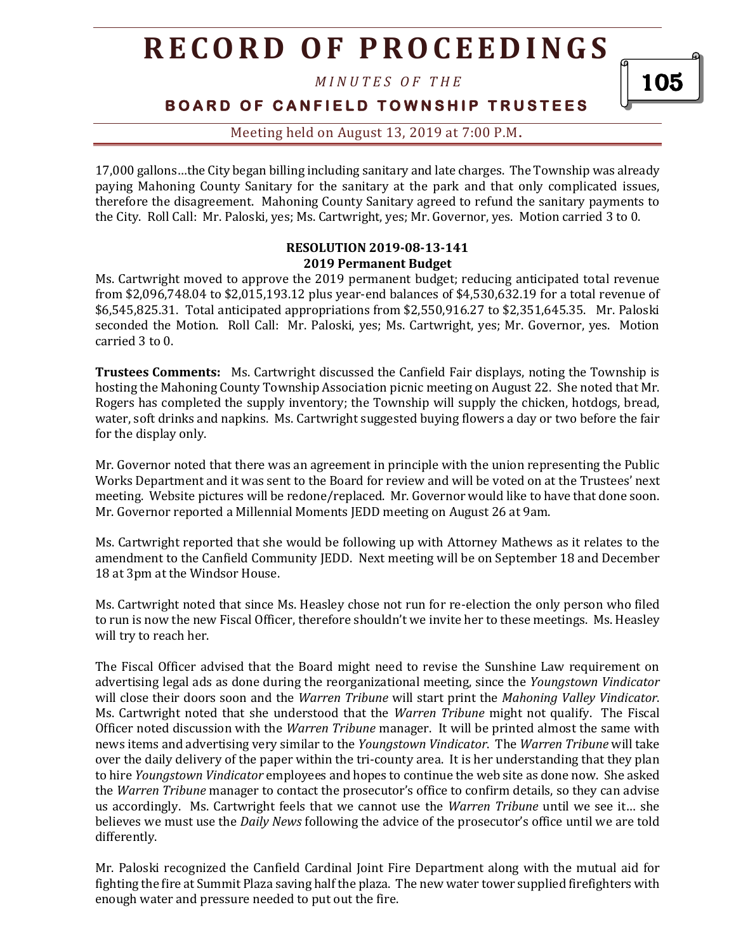*M I N U T E S O F T H E* 

105

**BOARD OF CANFIELD TOWNSHIP TRUSTEES** 

Meeting held on August 13, 2019 at 7:00 P.M**.**

17,000 gallons…the City began billing including sanitary and late charges. The Township was already paying Mahoning County Sanitary for the sanitary at the park and that only complicated issues, therefore the disagreement. Mahoning County Sanitary agreed to refund the sanitary payments to the City. Roll Call: Mr. Paloski, yes; Ms. Cartwright, yes; Mr. Governor, yes. Motion carried 3 to 0.

### **RESOLUTION 2019-08-13-141 2019 Permanent Budget**

Ms. Cartwright moved to approve the 2019 permanent budget; reducing anticipated total revenue from \$2,096,748.04 to \$2,015,193.12 plus year-end balances of \$4,530,632.19 for a total revenue of \$6,545,825.31. Total anticipated appropriations from \$2,550,916.27 to \$2,351,645.35. Mr. Paloski seconded the Motion. Roll Call: Mr. Paloski, yes; Ms. Cartwright, yes; Mr. Governor, yes. Motion carried 3 to 0.

**Trustees Comments:** Ms. Cartwright discussed the Canfield Fair displays, noting the Township is hosting the Mahoning County Township Association picnic meeting on August 22. She noted that Mr. Rogers has completed the supply inventory; the Township will supply the chicken, hotdogs, bread, water, soft drinks and napkins. Ms. Cartwright suggested buying flowers a day or two before the fair for the display only.

Mr. Governor noted that there was an agreement in principle with the union representing the Public Works Department and it was sent to the Board for review and will be voted on at the Trustees' next meeting. Website pictures will be redone/replaced. Mr. Governor would like to have that done soon. Mr. Governor reported a Millennial Moments JEDD meeting on August 26 at 9am.

Ms. Cartwright reported that she would be following up with Attorney Mathews as it relates to the amendment to the Canfield Community JEDD. Next meeting will be on September 18 and December 18 at 3pm at the Windsor House.

Ms. Cartwright noted that since Ms. Heasley chose not run for re-election the only person who filed to run is now the new Fiscal Officer, therefore shouldn't we invite her to these meetings. Ms. Heasley will try to reach her.

The Fiscal Officer advised that the Board might need to revise the Sunshine Law requirement on advertising legal ads as done during the reorganizational meeting, since the *Youngstown Vindicator* will close their doors soon and the *Warren Tribune* will start print the *Mahoning Valley Vindicator*. Ms. Cartwright noted that she understood that the *Warren Tribune* might not qualify. The Fiscal Officer noted discussion with the *Warren Tribune* manager. It will be printed almost the same with news items and advertising very similar to the *Youngstown Vindicator*. The *Warren Tribune* will take over the daily delivery of the paper within the tri-county area. It is her understanding that they plan to hire *Youngstown Vindicator* employees and hopes to continue the web site as done now. She asked the *Warren Tribune* manager to contact the prosecutor's office to confirm details, so they can advise us accordingly. Ms. Cartwright feels that we cannot use the *Warren Tribune* until we see it… she believes we must use the *Daily News* following the advice of the prosecutor's office until we are told differently.

Mr. Paloski recognized the Canfield Cardinal Joint Fire Department along with the mutual aid for fighting the fire at Summit Plaza saving half the plaza. The new water tower supplied firefighters with enough water and pressure needed to put out the fire.